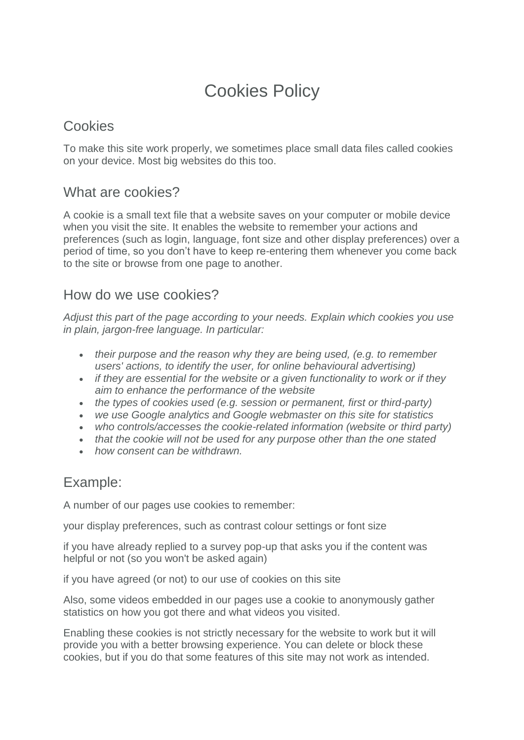# Cookies Policy

## **Cookies**

To make this site work properly, we sometimes place small data files called cookies on your device. Most big websites do this too.

### What are cookies?

A cookie is a small text file that a website saves on your computer or mobile device when you visit the site. It enables the website to remember your actions and preferences (such as login, language, font size and other display preferences) over a period of time, so you don't have to keep re-entering them whenever you come back to the site or browse from one page to another.

#### How do we use cookies?

*Adjust this part of the page according to your needs. Explain which cookies you use in plain, jargon-free language. In particular:*

- *their purpose and the reason why they are being used, (e.g. to remember users' actions, to identify the user, for online behavioural advertising)*
- *if they are essential for the website or a given functionality to work or if they aim to enhance the performance of the website*
- *the types of cookies used (e.g. session or permanent, first or third-party)*
- *we use Google analytics and Google webmaster on this site for statistics*
- *who controls/accesses the cookie-related information (website or third party)*
- *that the cookie will not be used for any purpose other than the one stated*
- *how consent can be withdrawn.*

# Example:

A number of our pages use cookies to remember:

your display preferences, such as contrast colour settings or font size

if you have already replied to a survey pop-up that asks you if the content was helpful or not (so you won't be asked again)

if you have agreed (or not) to our use of cookies on this site

Also, some videos embedded in our pages use a cookie to anonymously gather statistics on how you got there and what videos you visited.

Enabling these cookies is not strictly necessary for the website to work but it will provide you with a better browsing experience. You can delete or block these cookies, but if you do that some features of this site may not work as intended.